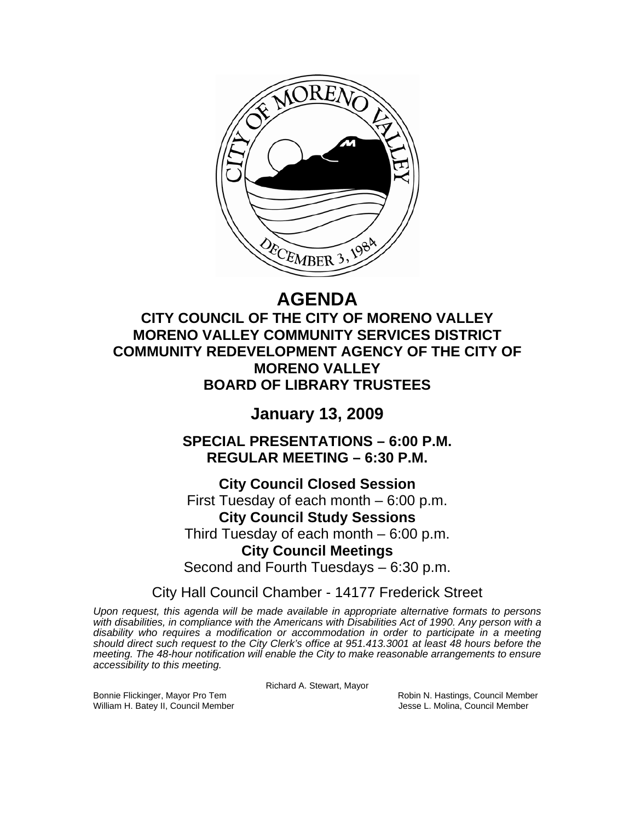

# **AGENDA**

**CITY COUNCIL OF THE CITY OF MORENO VALLEY MORENO VALLEY COMMUNITY SERVICES DISTRICT COMMUNITY REDEVELOPMENT AGENCY OF THE CITY OF MORENO VALLEY BOARD OF LIBRARY TRUSTEES** 

## **January 13, 2009**

**SPECIAL PRESENTATIONS – 6:00 P.M. REGULAR MEETING – 6:30 P.M.** 

**City Council Closed Session**  First Tuesday of each month – 6:00 p.m. **City Council Study Sessions**  Third Tuesday of each month – 6:00 p.m. **City Council Meetings**  Second and Fourth Tuesdays – 6:30 p.m.

City Hall Council Chamber - 14177 Frederick Street

*Upon request, this agenda will be made available in appropriate alternative formats to persons with disabilities, in compliance with the Americans with Disabilities Act of 1990. Any person with a disability who requires a modification or accommodation in order to participate in a meeting should direct such request to the City Clerk's office at 951.413.3001 at least 48 hours before the meeting. The 48-hour notification will enable the City to make reasonable arrangements to ensure accessibility to this meeting.* 

Richard A. Stewart, Mayor

Bonnie Flickinger, Mayor Pro Tem **Robin A. Hastings, Council Member** Robin N. Hastings, Council Member William H. Batey II, Council Member **Jesse L. Molina, Council Member** Jesse L. Molina, Council Member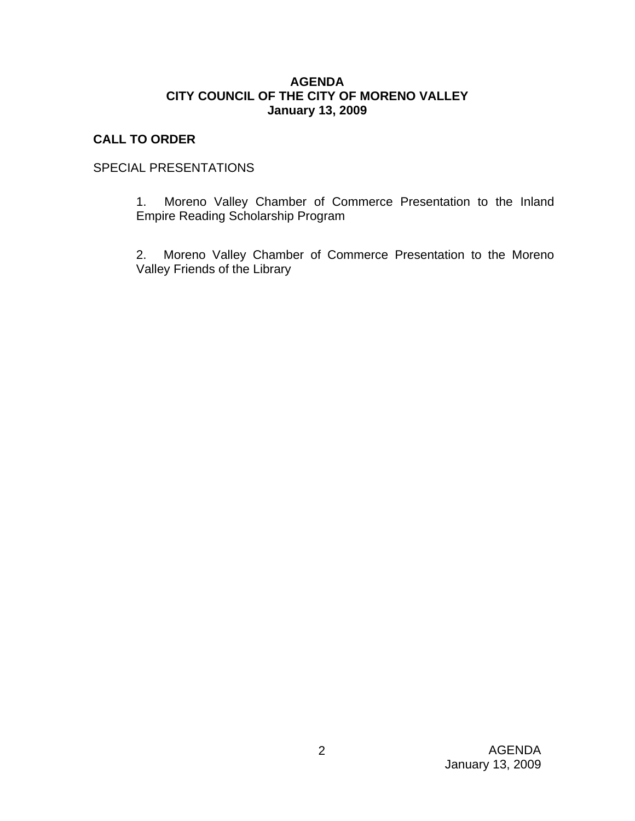#### **AGENDA CITY COUNCIL OF THE CITY OF MORENO VALLEY January 13, 2009**

## **CALL TO ORDER**

## SPECIAL PRESENTATIONS

1. Moreno Valley Chamber of Commerce Presentation to the Inland Empire Reading Scholarship Program

2. Moreno Valley Chamber of Commerce Presentation to the Moreno Valley Friends of the Library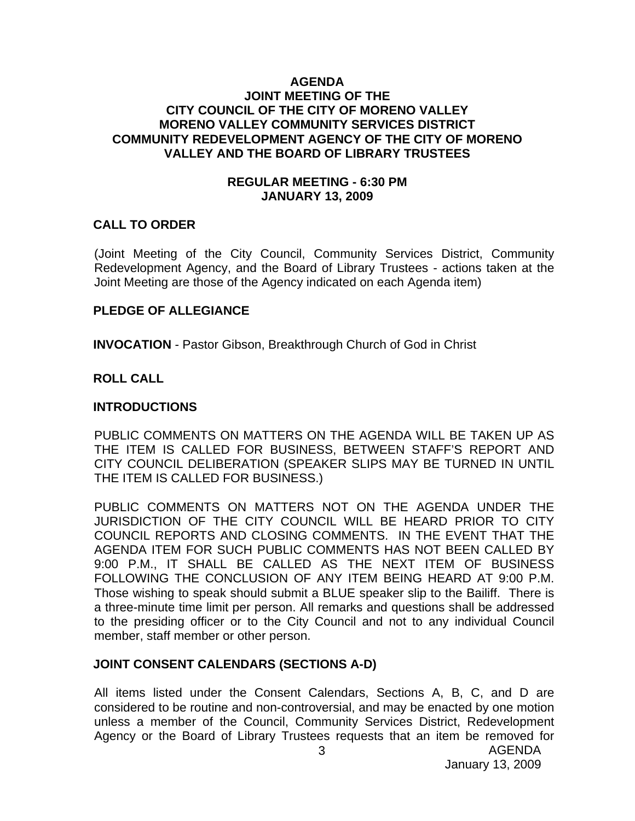#### **AGENDA JOINT MEETING OF THE CITY COUNCIL OF THE CITY OF MORENO VALLEY MORENO VALLEY COMMUNITY SERVICES DISTRICT COMMUNITY REDEVELOPMENT AGENCY OF THE CITY OF MORENO VALLEY AND THE BOARD OF LIBRARY TRUSTEES**

#### **REGULAR MEETING - 6:30 PM JANUARY 13, 2009**

#### **CALL TO ORDER**

(Joint Meeting of the City Council, Community Services District, Community Redevelopment Agency, and the Board of Library Trustees - actions taken at the Joint Meeting are those of the Agency indicated on each Agenda item)

#### **PLEDGE OF ALLEGIANCE**

**INVOCATION** - Pastor Gibson, Breakthrough Church of God in Christ

#### **ROLL CALL**

#### **INTRODUCTIONS**

PUBLIC COMMENTS ON MATTERS ON THE AGENDA WILL BE TAKEN UP AS THE ITEM IS CALLED FOR BUSINESS, BETWEEN STAFF'S REPORT AND CITY COUNCIL DELIBERATION (SPEAKER SLIPS MAY BE TURNED IN UNTIL THE ITEM IS CALLED FOR BUSINESS.)

PUBLIC COMMENTS ON MATTERS NOT ON THE AGENDA UNDER THE JURISDICTION OF THE CITY COUNCIL WILL BE HEARD PRIOR TO CITY COUNCIL REPORTS AND CLOSING COMMENTS. IN THE EVENT THAT THE AGENDA ITEM FOR SUCH PUBLIC COMMENTS HAS NOT BEEN CALLED BY 9:00 P.M., IT SHALL BE CALLED AS THE NEXT ITEM OF BUSINESS FOLLOWING THE CONCLUSION OF ANY ITEM BEING HEARD AT 9:00 P.M. Those wishing to speak should submit a BLUE speaker slip to the Bailiff. There is a three-minute time limit per person. All remarks and questions shall be addressed to the presiding officer or to the City Council and not to any individual Council member, staff member or other person.

#### **JOINT CONSENT CALENDARS (SECTIONS A-D)**

All items listed under the Consent Calendars, Sections A, B, C, and D are considered to be routine and non-controversial, and may be enacted by one motion unless a member of the Council, Community Services District, Redevelopment Agency or the Board of Library Trustees requests that an item be removed for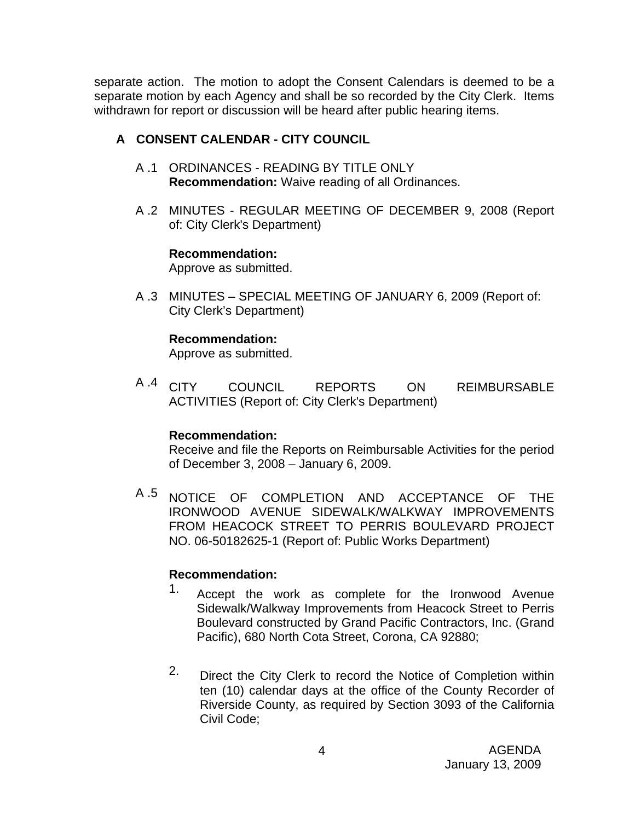separate action. The motion to adopt the Consent Calendars is deemed to be a separate motion by each Agency and shall be so recorded by the City Clerk. Items withdrawn for report or discussion will be heard after public hearing items.

## **A CONSENT CALENDAR - CITY COUNCIL**

- A .1 ORDINANCES READING BY TITLE ONLY **Recommendation:** Waive reading of all Ordinances.
- A .2 MINUTES REGULAR MEETING OF DECEMBER 9, 2008 (Report of: City Clerk's Department)

## **Recommendation:**

Approve as submitted.

A .3 MINUTES – SPECIAL MEETING OF JANUARY 6, 2009 (Report of: City Clerk's Department)

## **Recommendation:**

Approve as submitted.

A .4 CITY COUNCIL REPORTS ON REIMBURSABLE ACTIVITIES (Report of: City Clerk's Department)

## **Recommendation:**

Receive and file the Reports on Reimbursable Activities for the period of December 3, 2008 – January 6, 2009.

A .5 NOTICE OF COMPLETION AND ACCEPTANCE OF THE IRONWOOD AVENUE SIDEWALK/WALKWAY IMPROVEMENTS FROM HEACOCK STREET TO PERRIS BOULEVARD PROJECT NO. 06-50182625-1 (Report of: Public Works Department)

## **Recommendation:**

- 1. Accept the work as complete for the Ironwood Avenue Sidewalk/Walkway Improvements from Heacock Street to Perris Boulevard constructed by Grand Pacific Contractors, Inc. (Grand Pacific), 680 North Cota Street, Corona, CA 92880;
- 2. Direct the City Clerk to record the Notice of Completion within ten (10) calendar days at the office of the County Recorder of Riverside County, as required by Section 3093 of the California Civil Code;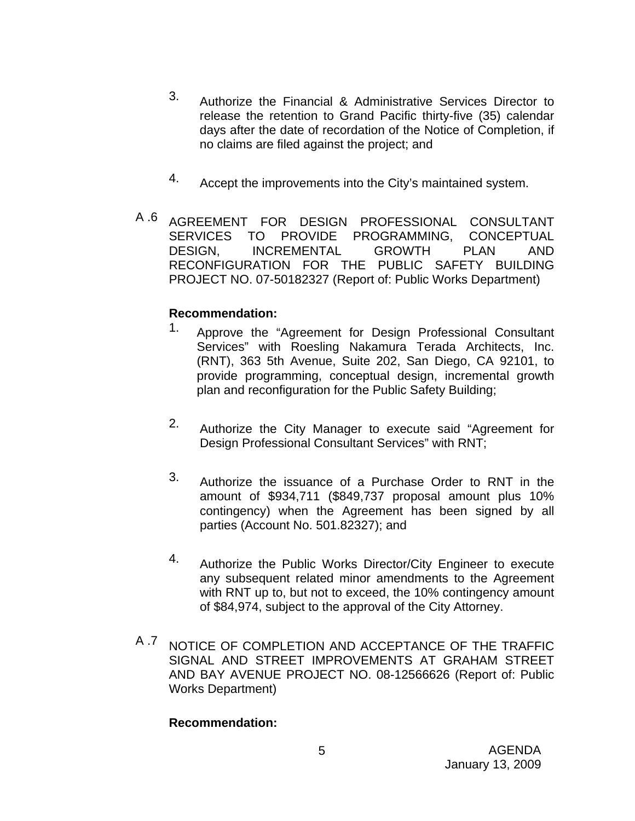- 3. Authorize the Financial & Administrative Services Director to release the retention to Grand Pacific thirty-five (35) calendar days after the date of recordation of the Notice of Completion, if no claims are filed against the project; and
- 4. Accept the improvements into the City's maintained system.
- A .6 AGREEMENT FOR DESIGN PROFESSIONAL CONSULTANT SERVICES TO PROVIDE PROGRAMMING, CONCEPTUAL DESIGN, INCREMENTAL GROWTH PLAN AND RECONFIGURATION FOR THE PUBLIC SAFETY BUILDING PROJECT NO. 07-50182327 (Report of: Public Works Department)

## **Recommendation:**

- 1. Approve the "Agreement for Design Professional Consultant Services" with Roesling Nakamura Terada Architects, Inc. (RNT), 363 5th Avenue, Suite 202, San Diego, CA 92101, to provide programming, conceptual design, incremental growth plan and reconfiguration for the Public Safety Building;
- 2. Authorize the City Manager to execute said "Agreement for Design Professional Consultant Services" with RNT;
- 3. Authorize the issuance of a Purchase Order to RNT in the amount of \$934,711 (\$849,737 proposal amount plus 10% contingency) when the Agreement has been signed by all parties (Account No. 501.82327); and
- 4. Authorize the Public Works Director/City Engineer to execute any subsequent related minor amendments to the Agreement with RNT up to, but not to exceed, the 10% contingency amount of \$84,974, subject to the approval of the City Attorney.
- A .7 NOTICE OF COMPLETION AND ACCEPTANCE OF THE TRAFFIC SIGNAL AND STREET IMPROVEMENTS AT GRAHAM STREET AND BAY AVENUE PROJECT NO. 08-12566626 (Report of: Public Works Department)

## **Recommendation:**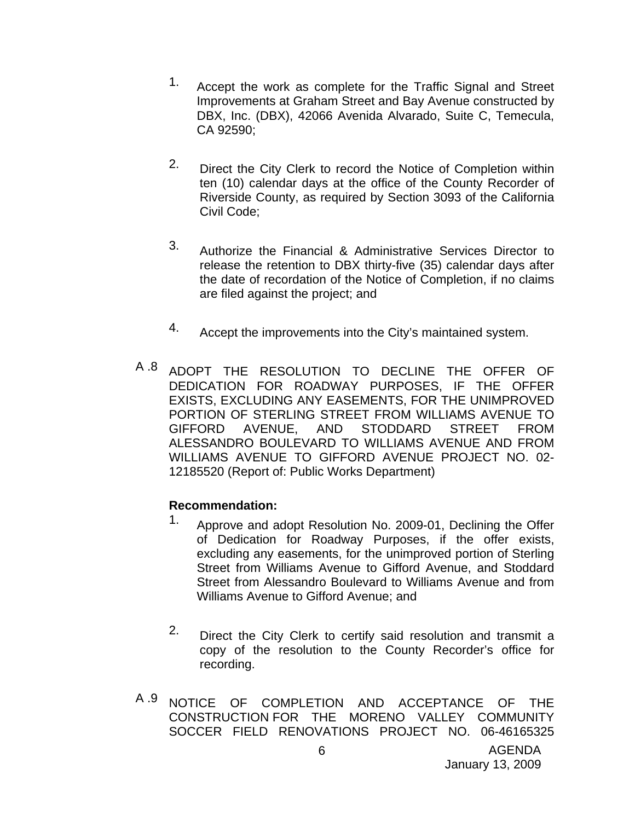- 1. Accept the work as complete for the Traffic Signal and Street Improvements at Graham Street and Bay Avenue constructed by DBX, Inc. (DBX), 42066 Avenida Alvarado, Suite C, Temecula, CA 92590;
- 2. Direct the City Clerk to record the Notice of Completion within ten (10) calendar days at the office of the County Recorder of Riverside County, as required by Section 3093 of the California Civil Code;
- 3. Authorize the Financial & Administrative Services Director to release the retention to DBX thirty-five (35) calendar days after the date of recordation of the Notice of Completion, if no claims are filed against the project; and
- 4. Accept the improvements into the City's maintained system.
- A 8 ADOPT THE RESOLUTION TO DECLINE THE OFFER OF DEDICATION FOR ROADWAY PURPOSES, IF THE OFFER EXISTS, EXCLUDING ANY EASEMENTS, FOR THE UNIMPROVED PORTION OF STERLING STREET FROM WILLIAMS AVENUE TO GIFFORD AVENUE, AND STODDARD STREET FROM ALESSANDRO BOULEVARD TO WILLIAMS AVENUE AND FROM WILLIAMS AVENUE TO GIFFORD AVENUE PROJECT NO. 02- 12185520 (Report of: Public Works Department)

## **Recommendation:**

- 1. Approve and adopt Resolution No. 2009-01, Declining the Offer of Dedication for Roadway Purposes, if the offer exists, excluding any easements, for the unimproved portion of Sterling Street from Williams Avenue to Gifford Avenue, and Stoddard Street from Alessandro Boulevard to Williams Avenue and from Williams Avenue to Gifford Avenue; and
- 2. Direct the City Clerk to certify said resolution and transmit a copy of the resolution to the County Recorder's office for recording.
- A 9 NOTICE OF COMPLETION AND ACCEPTANCE OF THE CONSTRUCTION FOR THE MORENO VALLEY COMMUNITY SOCCER FIELD RENOVATIONS PROJECT NO. 06-46165325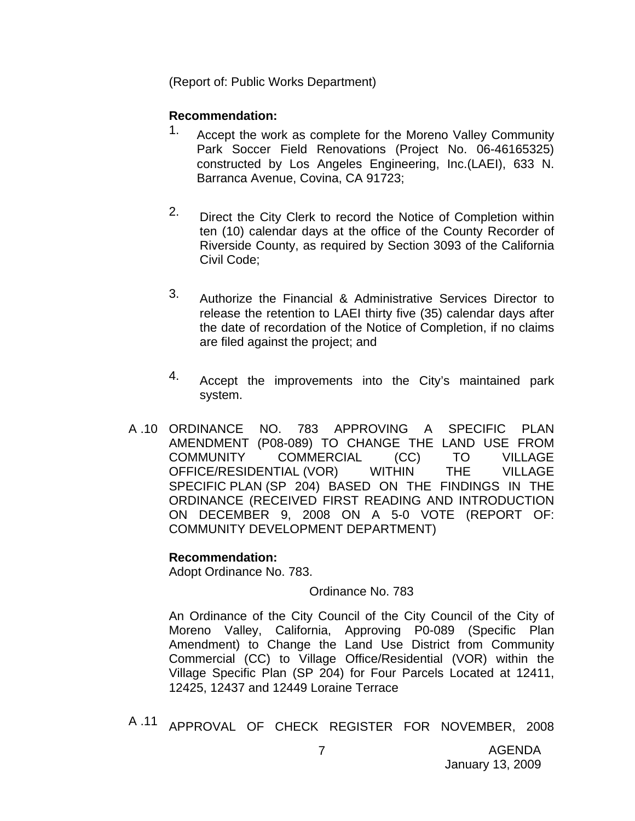(Report of: Public Works Department)

#### **Recommendation:**

- 1. Accept the work as complete for the Moreno Valley Community Park Soccer Field Renovations (Project No. 06-46165325) constructed by Los Angeles Engineering, Inc.(LAEI), 633 N. Barranca Avenue, Covina, CA 91723;
- 2. Direct the City Clerk to record the Notice of Completion within ten (10) calendar days at the office of the County Recorder of Riverside County, as required by Section 3093 of the California Civil Code;
- 3. Authorize the Financial & Administrative Services Director to release the retention to LAEI thirty five (35) calendar days after the date of recordation of the Notice of Completion, if no claims are filed against the project; and
- 4. Accept the improvements into the City's maintained park system.
- A .10 ORDINANCE NO. 783 APPROVING A SPECIFIC PLAN AMENDMENT (P08-089) TO CHANGE THE LAND USE FROM COMMUNITY COMMERCIAL (CC) TO VILLAGE OFFICE/RESIDENTIAL (VOR) WITHIN THE VILLAGE SPECIFIC PLAN (SP 204) BASED ON THE FINDINGS IN THE ORDINANCE (RECEIVED FIRST READING AND INTRODUCTION ON DECEMBER 9, 2008 ON A 5-0 VOTE (REPORT OF: COMMUNITY DEVELOPMENT DEPARTMENT)

#### **Recommendation:**

Adopt Ordinance No. 783.

#### Ordinance No. 783

An Ordinance of the City Council of the City Council of the City of Moreno Valley, California, Approving P0-089 (Specific Plan Amendment) to Change the Land Use District from Community Commercial (CC) to Village Office/Residential (VOR) within the Village Specific Plan (SP 204) for Four Parcels Located at 12411, 12425, 12437 and 12449 Loraine Terrace

A .11 APPROVAL OF CHECK REGISTER FOR NOVEMBER, 2008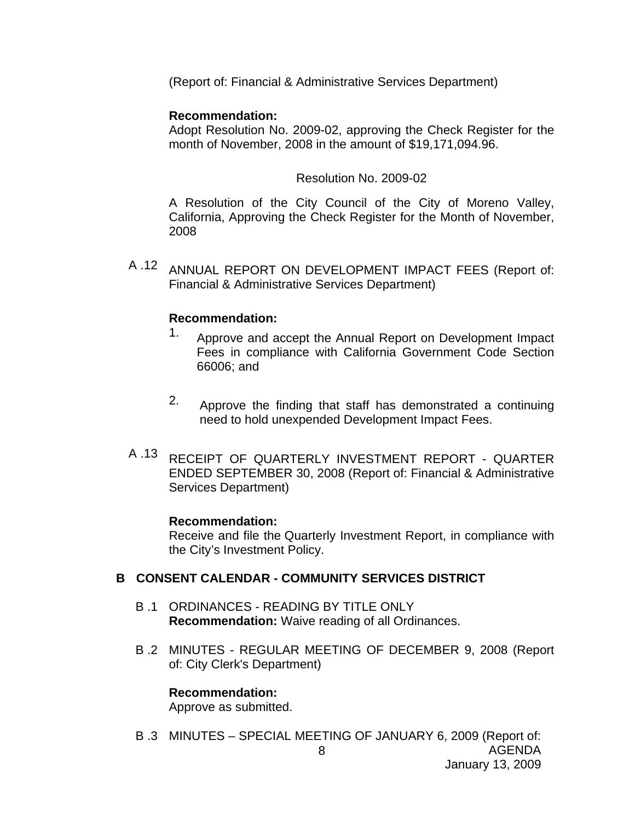(Report of: Financial & Administrative Services Department)

#### **Recommendation:**

Adopt Resolution No. 2009-02, approving the Check Register for the month of November, 2008 in the amount of \$19,171,094.96.

#### Resolution No. 2009-02

A Resolution of the City Council of the City of Moreno Valley, California, Approving the Check Register for the Month of November, 2008

A .12 ANNUAL REPORT ON DEVELOPMENT IMPACT FEES (Report of: Financial & Administrative Services Department)

#### **Recommendation:**

- 1. Approve and accept the Annual Report on Development Impact Fees in compliance with California Government Code Section 66006; and
- 2. Approve the finding that staff has demonstrated a continuing need to hold unexpended Development Impact Fees.
- A .13 RECEIPT OF QUARTERLY INVESTMENT REPORT QUARTER ENDED SEPTEMBER 30, 2008 (Report of: Financial & Administrative Services Department)

#### **Recommendation:**

Receive and file the Quarterly Investment Report, in compliance with the City's Investment Policy.

#### **B CONSENT CALENDAR - COMMUNITY SERVICES DISTRICT**

- B .1 ORDINANCES READING BY TITLE ONLY **Recommendation:** Waive reading of all Ordinances.
- B .2 MINUTES REGULAR MEETING OF DECEMBER 9, 2008 (Report of: City Clerk's Department)

#### **Recommendation:**

Approve as submitted.

AGENDA January 13, 2009 8 B .3 MINUTES – SPECIAL MEETING OF JANUARY 6, 2009 (Report of: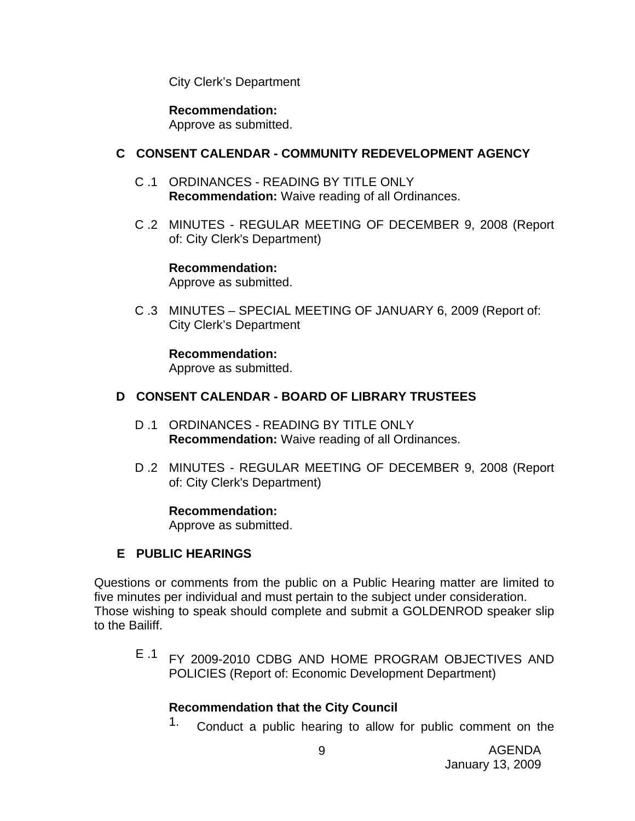City Clerk's Department

**Recommendation:**  Approve as submitted.

#### **C CONSENT CALENDAR - COMMUNITY REDEVELOPMENT AGENCY**

- C .1 ORDINANCES READING BY TITLE ONLY **Recommendation:** Waive reading of all Ordinances.
- C .2 MINUTES REGULAR MEETING OF DECEMBER 9, 2008 (Report of: City Clerk's Department)

**Recommendation:**  Approve as submitted.

C .3 MINUTES – SPECIAL MEETING OF JANUARY 6, 2009 (Report of: City Clerk's Department

**Recommendation:**  Approve as submitted.

#### **D CONSENT CALENDAR - BOARD OF LIBRARY TRUSTEES**

- D .1 ORDINANCES READING BY TITLE ONLY **Recommendation:** Waive reading of all Ordinances.
- D .2 MINUTES REGULAR MEETING OF DECEMBER 9, 2008 (Report of: City Clerk's Department)

#### **Recommendation:**

Approve as submitted.

#### **E PUBLIC HEARINGS**

Questions or comments from the public on a Public Hearing matter are limited to five minutes per individual and must pertain to the subject under consideration. Those wishing to speak should complete and submit a GOLDENROD speaker slip to the Bailiff.

E .1 FY 2009-2010 CDBG AND HOME PROGRAM OBJECTIVES AND POLICIES (Report of: Economic Development Department)

#### **Recommendation that the City Council**

<sup>1.</sup> Conduct a public hearing to allow for public comment on the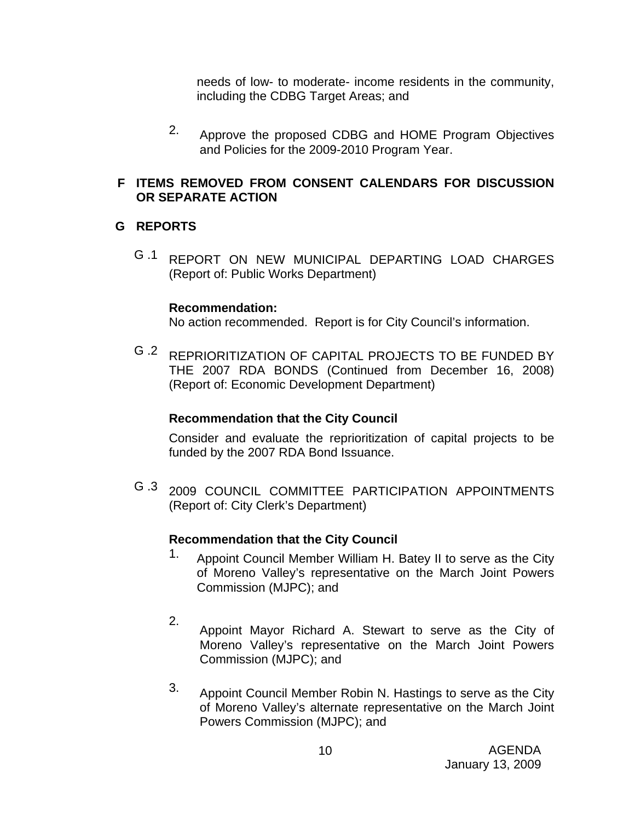needs of low- to moderate- income residents in the community, including the CDBG Target Areas; and

2. Approve the proposed CDBG and HOME Program Objectives and Policies for the 2009-2010 Program Year.

## **F ITEMS REMOVED FROM CONSENT CALENDARS FOR DISCUSSION OR SEPARATE ACTION**

#### **G REPORTS**

G .1 REPORT ON NEW MUNICIPAL DEPARTING LOAD CHARGES (Report of: Public Works Department)

#### **Recommendation:**

No action recommended. Report is for City Council's information.

G .2 REPRIORITIZATION OF CAPITAL PROJECTS TO BE FUNDED BY THE 2007 RDA BONDS (Continued from December 16, 2008) (Report of: Economic Development Department)

#### **Recommendation that the City Council**

Consider and evaluate the reprioritization of capital projects to be funded by the 2007 RDA Bond Issuance.

G .3 2009 COUNCIL COMMITTEE PARTICIPATION APPOINTMENTS (Report of: City Clerk's Department)

#### **Recommendation that the City Council**

- 1. Appoint Council Member William H. Batey II to serve as the City of Moreno Valley's representative on the March Joint Powers Commission (MJPC); and
- 2. Appoint Mayor Richard A. Stewart to serve as the City of Moreno Valley's representative on the March Joint Powers Commission (MJPC); and
- 3. Appoint Council Member Robin N. Hastings to serve as the City of Moreno Valley's alternate representative on the March Joint Powers Commission (MJPC); and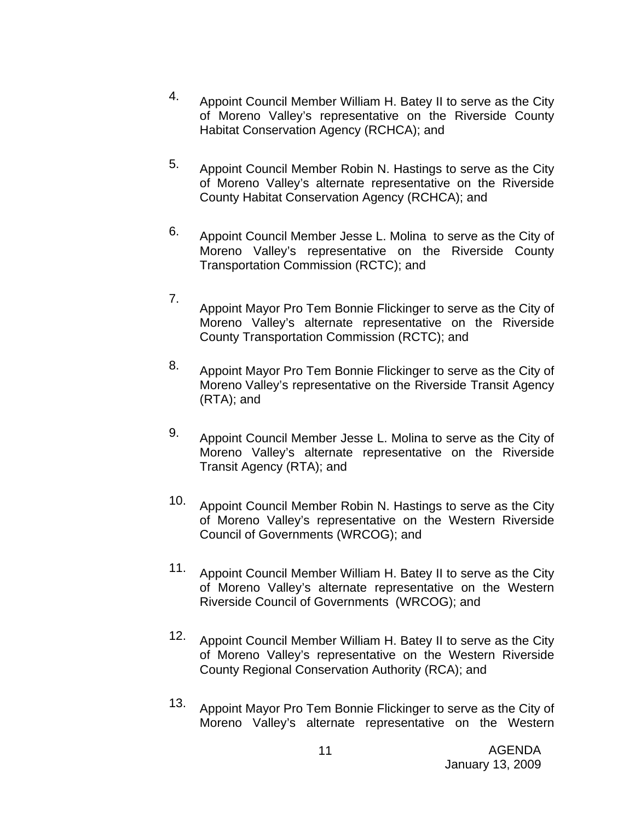- 4. Appoint Council Member William H. Batey II to serve as the City of Moreno Valley's representative on the Riverside County Habitat Conservation Agency (RCHCA); and
- 5. Appoint Council Member Robin N. Hastings to serve as the City of Moreno Valley's alternate representative on the Riverside County Habitat Conservation Agency (RCHCA); and
- 6. Appoint Council Member Jesse L. Molina to serve as the City of Moreno Valley's representative on the Riverside County Transportation Commission (RCTC); and
- 7. Appoint Mayor Pro Tem Bonnie Flickinger to serve as the City of Moreno Valley's alternate representative on the Riverside County Transportation Commission (RCTC); and
- 8. Appoint Mayor Pro Tem Bonnie Flickinger to serve as the City of Moreno Valley's representative on the Riverside Transit Agency (RTA); and
- 9. Appoint Council Member Jesse L. Molina to serve as the City of Moreno Valley's alternate representative on the Riverside Transit Agency (RTA); and
- 10. Appoint Council Member Robin N. Hastings to serve as the City of Moreno Valley's representative on the Western Riverside Council of Governments (WRCOG); and
- 11. Appoint Council Member William H. Batey II to serve as the City of Moreno Valley's alternate representative on the Western Riverside Council of Governments (WRCOG); and
- 12. Appoint Council Member William H. Batey II to serve as the City of Moreno Valley's representative on the Western Riverside County Regional Conservation Authority (RCA); and
- 13. Appoint Mayor Pro Tem Bonnie Flickinger to serve as the City of Moreno Valley's alternate representative on the Western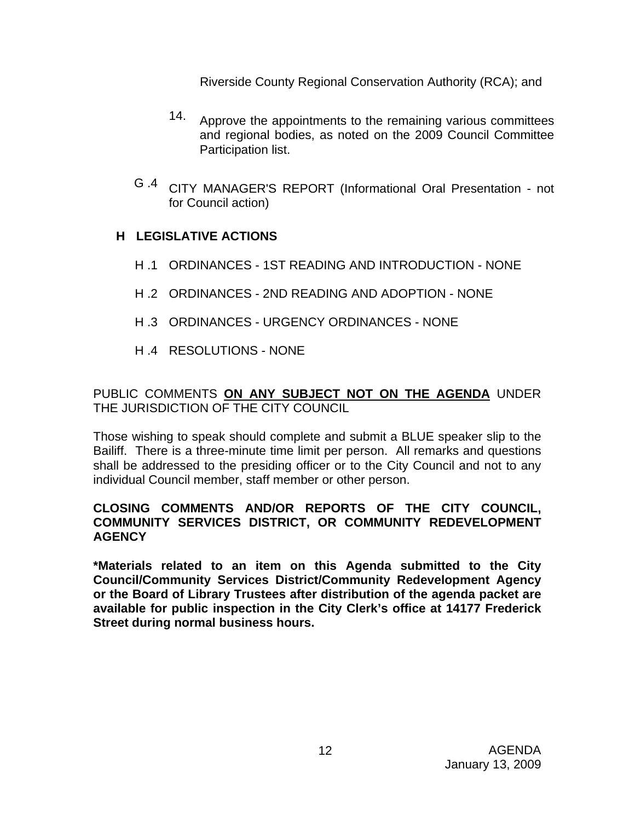Riverside County Regional Conservation Authority (RCA); and

- 14. Approve the appointments to the remaining various committees and regional bodies, as noted on the 2009 Council Committee Participation list.
- G .4 CITY MANAGER'S REPORT (Informational Oral Presentation not for Council action)

## **H LEGISLATIVE ACTIONS**

- H .1 ORDINANCES 1ST READING AND INTRODUCTION NONE
- H .2 ORDINANCES 2ND READING AND ADOPTION NONE
- H .3 ORDINANCES URGENCY ORDINANCES NONE
- H .4 RESOLUTIONS NONE

PUBLIC COMMENTS **ON ANY SUBJECT NOT ON THE AGENDA** UNDER THE JURISDICTION OF THE CITY COUNCIL

Those wishing to speak should complete and submit a BLUE speaker slip to the Bailiff. There is a three-minute time limit per person. All remarks and questions shall be addressed to the presiding officer or to the City Council and not to any individual Council member, staff member or other person.

## **CLOSING COMMENTS AND/OR REPORTS OF THE CITY COUNCIL, COMMUNITY SERVICES DISTRICT, OR COMMUNITY REDEVELOPMENT AGENCY**

**\*Materials related to an item on this Agenda submitted to the City Council/Community Services District/Community Redevelopment Agency or the Board of Library Trustees after distribution of the agenda packet are available for public inspection in the City Clerk's office at 14177 Frederick Street during normal business hours.**